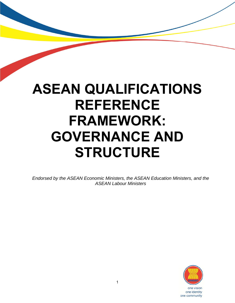# **ASEAN QUALIFICATIONS REFERENCE FRAMEWORK: GOVERNANCE AND STRUCTURE**

*Endorsed by the ASEAN Economic Ministers, the ASEAN Education Ministers, and the ASEAN Labour Ministers*



one vision one identity one community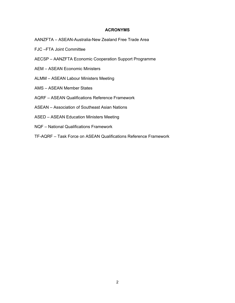# **ACRONYMS**

AANZFTA – ASEAN-Australia-New Zealand Free Trade Area

- FJC –FTA Joint Committee
- AECSP AANZFTA Economic Cooperation Support Programme
- AEM ASEAN Economic Ministers
- ALMM ASEAN Labour Ministers Meeting
- AMS ASEAN Member States
- AQRF ASEAN Qualifications Reference Framework
- ASEAN Association of Southeast Asian Nations
- ASED ASEAN Education Ministers Meeting
- NQF National Qualifications Framework
- TF-AQRF Task Force on ASEAN Qualifications Reference Framework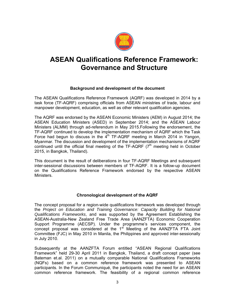

# **ASEAN Qualifications Reference Framework: Governance and Structure**

# **Background and development of the document**

The ASEAN Qualifications Reference Framework (AQRF) was developed in 2014 by a task force (TF-AQRF) comprising officials from ASEAN ministries of trade, labour and manpower development, education, as well as other relevant qualification agencies.

The AQRF was endorsed by the ASEAN Economic Ministers (AEM) in August 2014; the ASEAN Education Ministers (ASED) in September 2014; and the ASEAN Labour Ministers (ALMM) through ad-referendum in May 2015.Following the endorsement, the TF-AQRF continued to develop the implementation mechanism of AQRF which the Task Force had begun to discuss in the  $4<sup>th</sup>$  TF-AQRF meeting in March 2014 in Yangon, Myanmar. The discussion and development of the implementation mechanisms of AQRF continued until the official final meeting of the TF-AQRF  $(7<sup>th</sup>$  meeting held in October 2015, in Bangkok, Thailand).

This document is the result of deliberations in four TF-AQRF Meetings and subsequent inter-sessional discussions between members of TF-AQRF. It is a follow-up document on the Qualifications Reference Framework endorsed by the respective ASEAN Ministers.

# **Chronological development of the AQRF**

The concept proposal for a region-wide qualifications framework was developed through the *Project on Education and Training Governance: Capacity Building for National Qualifications Frameworks*, and was supported by the Agreement Establishing the ASEAN-Australia-New Zealand Free Trade Area (AANZFTA) Economic Cooperation Support Programme (AECSP). Under the programme's services component, the concept proposal was considered at the 1<sup>st</sup> Meeting of the AANZFTA FTA Joint Committee (FJC) in May 2010 in Manila, the Philippines and approved inter-sessionally in July 2010.

Subsequently at the AANZFTA Forum entitled "ASEAN Regional Qualifications Framework" held 29-30 April 2011 in Bangkok, Thailand, a draft concept paper (see Bateman et.al. 2011) on a mutually comparable National Qualifications Frameworks (NQFs) based on a common reference framework was presented to ASEAN participants. In the Forum Communiqué, the participants noted the need for an ASEAN common reference framework. The feasibility of a regional common reference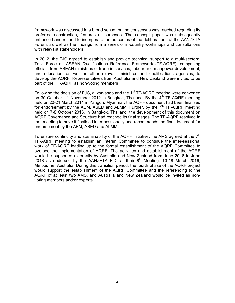framework was discussed in a broad sense, but no consensus was reached regarding its preferred construction, features or purposes. The concept paper was subsequently enhanced and refined to incorporate the outcomes of the deliberations at the AANZFTA Forum, as well as the findings from a series of in-country workshops and consultations with relevant stakeholders.

In 2012, the FJC agreed to establish and provide technical support to a multi-sectoral Task Force on ASEAN Qualifications Reference Framework (TF-AQRF), comprising officials from ASEAN ministries of trade in services, labour and manpower development, and education, as well as other relevant ministries and qualifications agencies, to develop the AQRF. Representatives from Australia and New Zealand were invited to be part of the TF-AQRF as non-voting members.

Following the decision of FJC, a workshop and the  $1<sup>st</sup> TF-AQRF$  meeting were convened on 30 October - 1 November 2012 in Bangkok, Thailand. By the  $4<sup>th</sup> TF-AQRF$  meeting held on 20-21 March 2014 in Yangon, Myanmar, the AQRF document had been finalised for endorsement by the AEM, ASED and ALMM. Further, by the  $7<sup>th</sup> TF-AQRF$  meeting held on 7-8 October 2015, in Bangkok, Thailand, the development of this document on AQRF Governance and Structure had reached its final stages. The TF-AQRF resolved in that meeting to have it finalised inter-sessionally and recommends the final document for endorsement by the AEM, ASED and ALMM.

To ensure continuity and sustainability of the AQRF initiative, the AMS agreed at the  $7<sup>th</sup>$ TF-AQRF meeting to establish an Interim Committee to continue the inter-sessional work of TF-AQRF leading up to the formal establishment of the AQRF Committee to oversee the implementation of AQRF. The activities and establishment of the AQRF would be supported externally by Australia and New Zealand from June 2016 to June 2018 as endorsed by the  $\overline{A}$ ANZFTA FJC at their  $8<sup>th</sup>$  Meeting, 13-18 March 2016, Melbourne, Australia. During this transition period, the fourth phase of the AQRF project would support the establishment of the AQRF Committee and the referencing to the AQRF of at least two AMS, and Australia and New Zealand would be invited as nonvoting members and/or experts.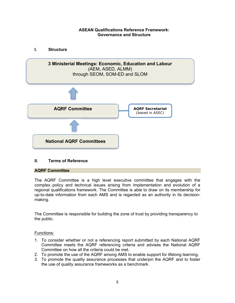# **ASEAN Qualifications Reference Framework: Governance and Structure**



# **II. Terms of Reference**

#### **AQRF Committee**

The AQRF Committee is a high level executive committee that engages with the complex policy and technical issues arising from implementation and evolution of a regional qualifications framework. The Committee is able to draw on its membership for up-to-date information from each AMS and is regarded as an authority in its decisionmaking.

The Committee is responsible for building the zone of trust by providing transparency to the public.

#### Functions:

- 1. To consider whether or not a referencing report submitted by each National AQRF Committee meets the AQRF referencing criteria and advises the National AQRF Committee on how all the criteria could be met.
- 2. To promote the use of the AQRF among AMS to enable support for lifelong learning.
- 3. To promote the quality assurance processes that underpin the AQRF and to foster the use of quality assurance frameworks as a benchmark.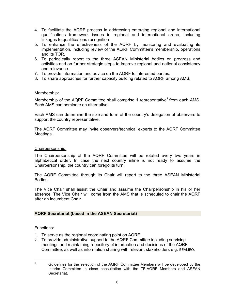- 4. To facilitate the AQRF process in addressing emerging regional and international qualifications framework issues in regional and international arena, including linkages to qualifications recognition.
- 5. To enhance the effectiveness of the AQRF by monitoring and evaluating its implementation, including review of the AQRF Committee's membership, operations and its TOR.
- 6. To periodically report to the three ASEAN Ministerial bodies on progress and activities and on further strategic steps to improve regional and national consistency and relevance.
- 7. To provide information and advice on the AQRF to interested parties.
- 8. To share approaches for further capacity building related to AQRF among AMS.

# Membership:

Membership of the AQRF Committee shall comprise 1 representative<sup>1</sup> from each AMS. Each AMS can nominate an alternative.

Each AMS can determine the size and form of the country's delegation of observers to support the country representative.

The AQRF Committee may invite observers/technical experts to the AQRF Committee Meetings.

#### Chairpersonship:

The Chairpersonship of the AQRF Committee will be rotated every two years in alphabetical order. In case the next country inline is not ready to assume the Chairpersonship, the country can forego its turn.

The AQRF Committee through its Chair will report to the three ASEAN Ministerial Bodies.

The Vice Chair shall assist the Chair and assume the Chairpersonship in his or her absence. The Vice Chair will come from the AMS that is scheduled to chair the AQRF after an incumbent Chair.

# **AQRF Secretariat (based in the ASEAN Secretariat)**

#### Functions:

- 1. To serve as the regional coordinating point on AQRF.
- 2. To provide administrative support to the AQRF Committee including servicing meetings and maintaining repository of information and decisions of the AQRF Committee, as well as information sharing with relevant stakeholders e.g. *SEAMEO*.

 $\mathbf{1}$ <sup>1</sup> Guidelines for the selection of the AQRF Committee Members will be developed by the Interim Committee in close consultation with the TF-AQRF Members and ASEAN Secretariat.